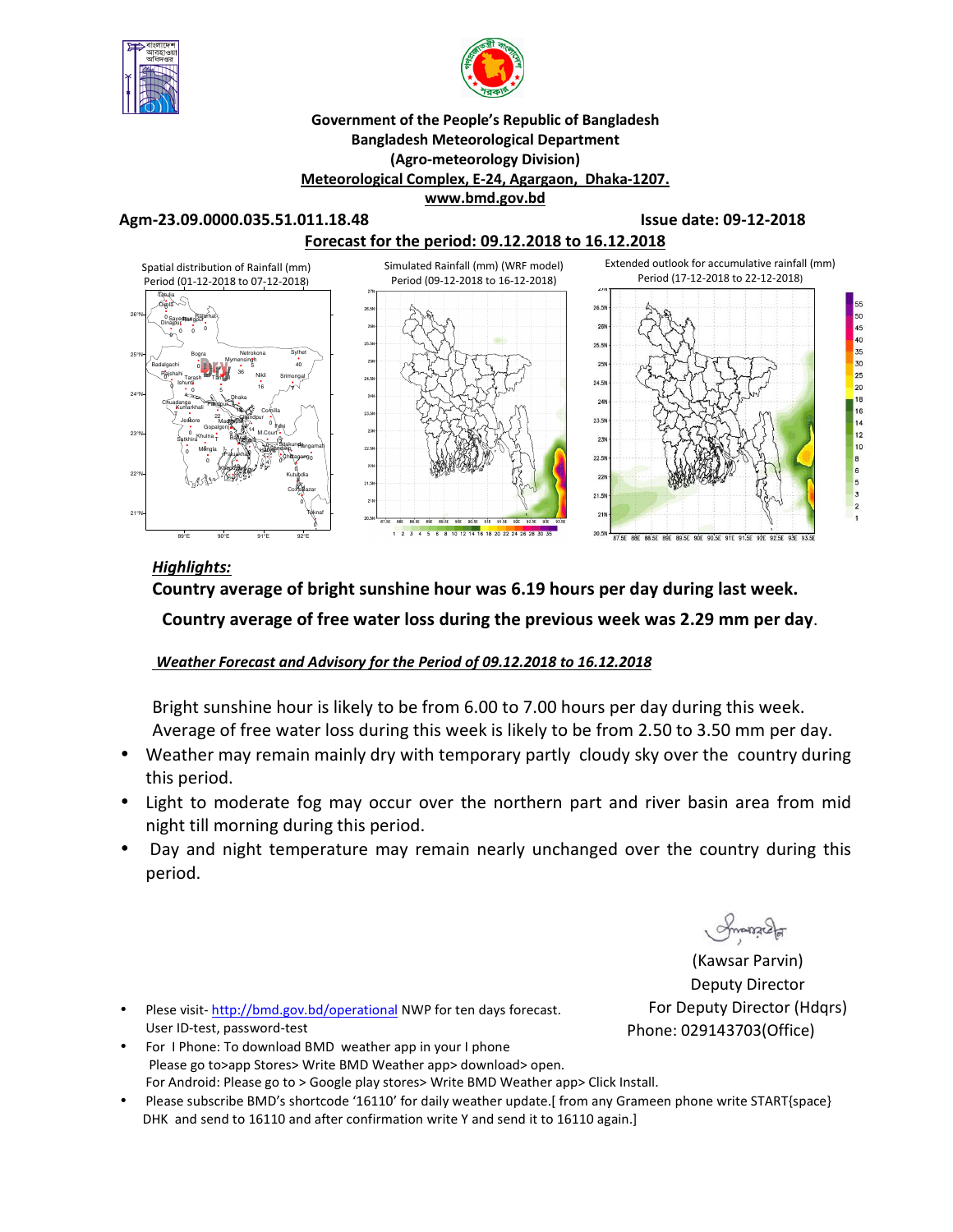



#### **Government of the People's Republic of Bangladesh Bangladesh Meteorological Department (Agro-meteorology Division) Meteorological Complex, E-24, Agargaon, Dhaka-1207. www.bmd.gov.bd**

**Agm-23.09.0000.035.51.011.18.48 Issue date: 09-12-2018** 



## *Highlights:*

**Country average of bright sunshine hour was 6.19 hours per day during last week. Country average of free water loss during the previous week was 2.29 mm per day**.

## *Weather Forecast and Advisory for the Period of 09.12.2018 to 16.12.2018*

Bright sunshine hour is likely to be from 6.00 to 7.00 hours per day during this week. Average of free water loss during this week is likely to be from 2.50 to 3.50 mm per day.

- Weather may remain mainly dry with temporary partly cloudy sky over the country during this period.
- Light to moderate fog may occur over the northern part and river basin area from mid night till morning during this period.
- Day and night temperature may remain nearly unchanged over the country during this period.

(Kawsar Parvin) Deputy Director For Deputy Director (Hdqrs) Phone: 029143703(Office)

- Plese visit-http://bmd.gov.bd/operational NWP for ten days forecast. User ID-test, password-test
- For I Phone: To download BMD weather app in your I phone Please go to>app Stores> Write BMD Weather app> download> open. For Android: Please go to > Google play stores> Write BMD Weather app> Click Install.
- Please subscribe BMD's shortcode '16110' for daily weather update.[ from any Grameen phone write START{space} DHK and send to 16110 and after confirmation write Y and send it to 16110 again.]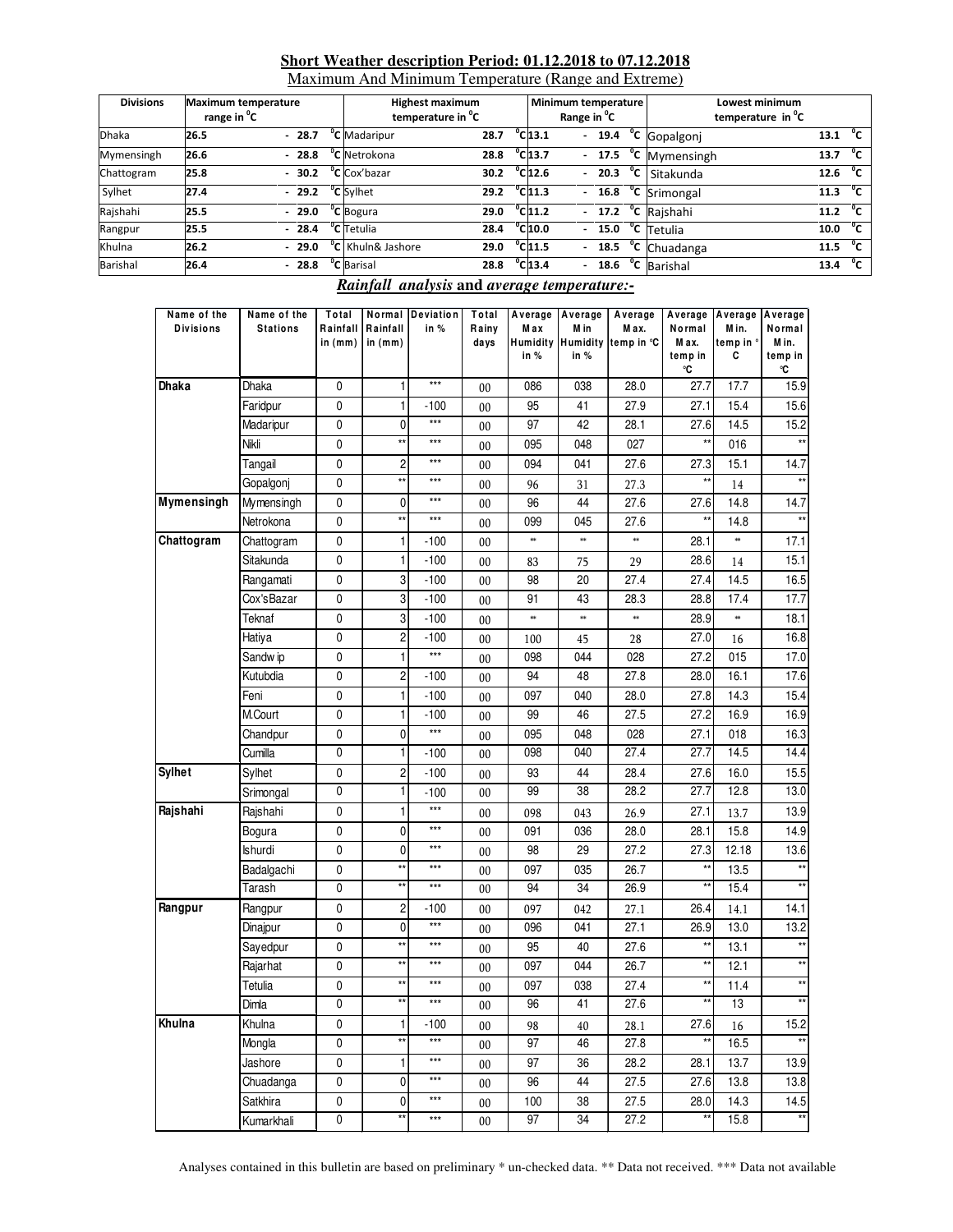#### **Short Weather description Period: 01.12.2018 to 07.12.2018**

Maximum And Minimum Temperature (Range and Extreme)

| <b>Divisions</b> | <b>Maximum temperature</b><br>range in <sup>v</sup> C |         | <b>Highest maximum</b><br>temperature in <sup>"</sup> C |      |                              | Minimum temperature<br>Range in <sup>o</sup> C |  | Lowest minimum<br>temperature in C |                    |              |
|------------------|-------------------------------------------------------|---------|---------------------------------------------------------|------|------------------------------|------------------------------------------------|--|------------------------------------|--------------------|--------------|
| <b>Dhaka</b>     | 26.5                                                  | $-28.7$ | <sup>o</sup> C Madaripur                                | 28.7 | $^{\circ}$ C <sub>13.1</sub> | $\mathcal{L}^{\pm}$                            |  | $19.4 °C$ Gopalgonj                | 13.1               | °°           |
| Mymensingh       | 26.6                                                  | $-28.8$ | <sup>o</sup> C Netrokona                                | 28.8 | $^{\circ}$ C <sub>13.7</sub> |                                                |  | $-17.5$ <sup>o</sup> C Mymensingh  | 13.7               | °⊂           |
| Chattogram       | 25.8                                                  | $-30.2$ | <sup>o</sup> C Cox'bazar                                | 30.2 | $^{\circ}$ C <sub>12.6</sub> |                                                |  | $-$ 20.3 $^{\circ}$ C Sitakunda    | 12.6               | $^{\circ}$ c |
| Sylhet           | 27.4                                                  |         | $-29.2$ °C Sylhet                                       | 29.2 | $^{\circ}$ C <sub>11.3</sub> |                                                |  | $-$ 16.8 $^{\circ}$ C Srimongal    | 11.3 $\sqrt[6]{C}$ |              |
| Rajshahi         | 25.5                                                  | $-29.0$ | <sup>o</sup> C Bogura                                   | 29.0 | $^{\circ}$ C <sub>11.2</sub> |                                                |  | $-17.2$ <sup>o</sup> C Rajshahi    | 11.2               | $^{\circ}$ c |
| Rangpur          | 25.5                                                  | $-28.4$ | <sup>o</sup> C Tetulia                                  | 28.4 | $^{\circ}$ C 10.0            |                                                |  | $-15.0$ <sup>o</sup> C Tetulia     | 10.0               | $^0$ C       |
| Khulna           | 26.2                                                  | $-29.0$ | <sup>o</sup> C Khuln& Jashore                           | 29.0 | $^{\circ}$ C <sub>11.5</sub> |                                                |  | $-$ 18.5 $^{\circ}$ C Chuadanga    | 11.5               | $^{\circ}$ c |
| Barishal         | 26.4                                                  | $-28.8$ | <sup>o</sup> C Barisal                                  | 28.8 | $^{\circ}$ C <sub>13.4</sub> |                                                |  | - $18.6 °C$ Barishal               | 13.4               | $^{\circ}$ c |

### *Rainfall analysis* **and** *average temperature:-*

| Name of the<br><b>Divisions</b> | Name of the<br><b>Stations</b> | Total<br>Rainfall<br>in $(mm)$ | Rainfall<br>in $(mm)$   | Normal Deviation<br>in % | Total<br>Rainy<br>days | Max<br>in % | Average Average<br>M in<br>in % | Average<br>M ax.<br>Humidity Humidity temp in °C | Normal<br>M ax.<br>temp in<br>℃ | Average Average Average<br>Min.<br>temp in °<br>c | Normal<br>M in.<br>temp in<br>۰C |
|---------------------------------|--------------------------------|--------------------------------|-------------------------|--------------------------|------------------------|-------------|---------------------------------|--------------------------------------------------|---------------------------------|---------------------------------------------------|----------------------------------|
| Dhaka                           | <b>Dhaka</b>                   | 0                              | 1                       | $***$                    | 00                     | 086         | 038                             | 28.0                                             | 27.7                            | 17.7                                              | 15.9                             |
|                                 | Faridpur                       | 0                              | $\mathbf{1}$            | $-100$                   | 00                     | 95          | 41                              | 27.9                                             | 27.1                            | 15.4                                              | 15.6                             |
|                                 | Madaripur                      | 0                              | $\mathbf 0$             | $***$                    | $00\,$                 | 97          | 42                              | 28.1                                             | 27.6                            | 14.5                                              | 15.2                             |
|                                 | Nikli                          | 0                              | $^{\star\star}$         | $***$                    | 00                     | 095         | 048                             | 027                                              | $^{\star\star}$                 | 016                                               | $***$                            |
|                                 | Tangail                        | 0                              | 2                       | $***$                    | 00                     | 094         | 041                             | 27.6                                             | 27.3                            | 15.1                                              | 14.7                             |
|                                 | Gopalgonj                      | 0                              | $\star\star$            | $***$                    | 00                     | 96          | 31                              | 27.3                                             |                                 | 14                                                |                                  |
| Mymensingh                      | Mymensingh                     | 0                              | 0                       | $***$                    | 00                     | 96          | 44                              | 27.6                                             | 27.6                            | 14.8                                              | 14.7                             |
|                                 | Netrokona                      | 0                              | $\star\star$            | $***$                    | 00                     | 099         | 045                             | 27.6                                             | $^{\star\star}$                 | 14.8                                              |                                  |
| Chattogram                      | Chattogram                     | 0                              | $\mathbf{1}$            | $-100$                   | 00                     | $\ast\ast$  | $\ast\ast$                      | $\ast\ast$                                       | 28.1                            | $\ast\ast$                                        | 17.1                             |
|                                 | Sitakunda                      | 0                              | 1                       | $-100$                   | 00                     | 83          | 75                              | 29                                               | 28.6                            | 14                                                | 15.1                             |
|                                 | Rangamati                      | 0                              | 3                       | $-100$                   | 00                     | 98          | 20                              | 27.4                                             | 27.4                            | 14.5                                              | 16.5                             |
|                                 | Cox's Bazar                    | 0                              | 3                       | $-100$                   | 00                     | 91          | 43                              | 28.3                                             | 28.8                            | 17.4                                              | 17.7                             |
|                                 | Teknaf                         | 0                              | 3                       | $-100$                   | 00                     | $\ast\ast$  | $\ast\ast$                      | ×                                                | 28.9                            | *                                                 | 18.1                             |
|                                 | Hatiya                         | 0                              | $\overline{c}$          | $-100$                   | 00                     | 100         | 45                              | 28                                               | 27.0                            | 16                                                | 16.8                             |
|                                 | Sandw ip                       | 0                              | $\mathbf{1}$            | $***$                    | 00                     | 098         | 044                             | 028                                              | 27.2                            | 015                                               | 17.0                             |
|                                 | Kutubdia                       | 0                              | $\overline{c}$          | $-100$                   | 00                     | 94          | 48                              | 27.8                                             | 28.0                            | 16.1                                              | 17.6                             |
|                                 | Feni                           | 0                              | $\mathbf{1}$            | $-100$                   | 00                     | 097         | 040                             | 28.0                                             | 27.8                            | 14.3                                              | 15.4                             |
|                                 | M.Court                        | 0                              | 1                       | $-100$                   | 00                     | 99          | 46                              | 27.5                                             | 27.2                            | 16.9                                              | 16.9                             |
|                                 | Chandpur                       | 0                              | $\mathbf 0$             | $***$                    | 00                     | 095         | 048                             | 028                                              | 27.1                            | 018                                               | 16.3                             |
|                                 | Cumilla                        | $\pmb{0}$                      | $\mathbf{1}$            | $-100$                   | 00                     | 098         | 040                             | 27.4                                             | 27.7                            | 14.5                                              | 14.4                             |
| <b>Sylhet</b>                   | Sylhet                         | 0                              | $\overline{\mathbf{c}}$ | $-100$                   | 00                     | 93          | 44                              | 28.4                                             | 27.6                            | 16.0                                              | 15.5                             |
|                                 | Srimongal                      | 0                              | 1                       | $-100$                   | 00                     | 99          | 38                              | 28.2                                             | 27.7                            | 12.8                                              | 13.0                             |
| Rajshahi                        | Rajshahi                       | 0                              | 1                       | $***$                    | 00                     | 098         | 043                             | 26.9                                             | 27.1                            | 13.7                                              | 13.9                             |
|                                 | Bogura                         | 0                              | $\mathbf 0$             | $***$                    | 00                     | 091         | 036                             | 28.0                                             | 28.1                            | 15.8                                              | 14.9                             |
|                                 | <b>Ishurdi</b>                 | 0                              | $\mathbf 0$             | $***$                    | 00                     | 98          | 29                              | 27.2                                             | 27.3                            | 12.18                                             | 13.6                             |
|                                 | Badalgachi                     | 0                              | $\star\star$            | $***$                    | 00                     | 097         | 035                             | 26.7                                             | $\star\star$                    | 13.5                                              | $\star\star$                     |
|                                 | Tarash                         | 0                              | $^{\star\star}$         | $***$                    | 00                     | 94          | 34                              | 26.9                                             | $\star\star$                    | 15.4                                              | $^{\star\star}$                  |
| Rangpur                         | Rangpur                        | $\pmb{0}$                      | $\overline{\mathbf{c}}$ | $-100$                   | 00                     | 097         | 042                             | 27.1                                             | 26.4                            | 14.1                                              | 14.1                             |
|                                 | Dinajpur                       | 0                              | 0                       | $***$                    | 00                     | 096         | 041                             | 27.1                                             | 26.9                            | 13.0                                              | 13.2                             |
|                                 | Sayedpur                       | 0                              | $^{\star\star}$         | $***$                    | $00\,$                 | 95          | 40                              | 27.6                                             | $\star\star$                    | 13.1                                              | $\star\star$                     |
|                                 | Rajarhat                       | 0                              | **                      | $***$                    | 00                     | 097         | 044                             | 26.7                                             | $\star\star$                    | 12.1                                              | $\star\star$                     |
|                                 | Tetulia                        | 0                              | $^{\star\star}$         | $***$                    | 00                     | 097         | 038                             | 27.4                                             | $\star\star$                    | 11.4                                              | $\star\star$                     |
|                                 | Dimla                          | 0                              | $\star\star$            | $***$                    | 00                     | 96          | 41                              | 27.6                                             | $\star\star$                    | 13                                                | $**$                             |
| Khulna                          | Khulna                         | 0                              | $\mathbf{1}$            | $-100$                   | 00                     | 98          | 40                              | 28.1                                             | 27.6                            | 16                                                | 15.2                             |
|                                 | Mongla                         | 0                              | $\star\star$            | $***$                    | 00                     | 97          | 46                              | 27.8                                             | $^{\star\star}$                 | 16.5                                              | $\star\star$                     |
|                                 | Jashore                        | 0                              | 1                       | ***                      | 00                     | 97          | 36                              | 28.2                                             | 28.1                            | 13.7                                              | 13.9                             |
|                                 | Chuadanga                      | 0                              | $\mathbf 0$             | $***$                    | 00                     | 96          | 44                              | 27.5                                             | 27.6                            | 13.8                                              | 13.8                             |
|                                 | Satkhira                       | 0                              | $\mathbf 0$             | $***$                    | $00\,$                 | 100         | 38                              | 27.5                                             | 28.0                            | 14.3                                              | 14.5                             |
|                                 | Kumarkhali                     | $\pmb{0}$                      | $\star\star$            | $***$                    | $00\,$                 | 97          | 34                              | 27.2                                             | $**$                            | 15.8                                              | $^{\star\star}$                  |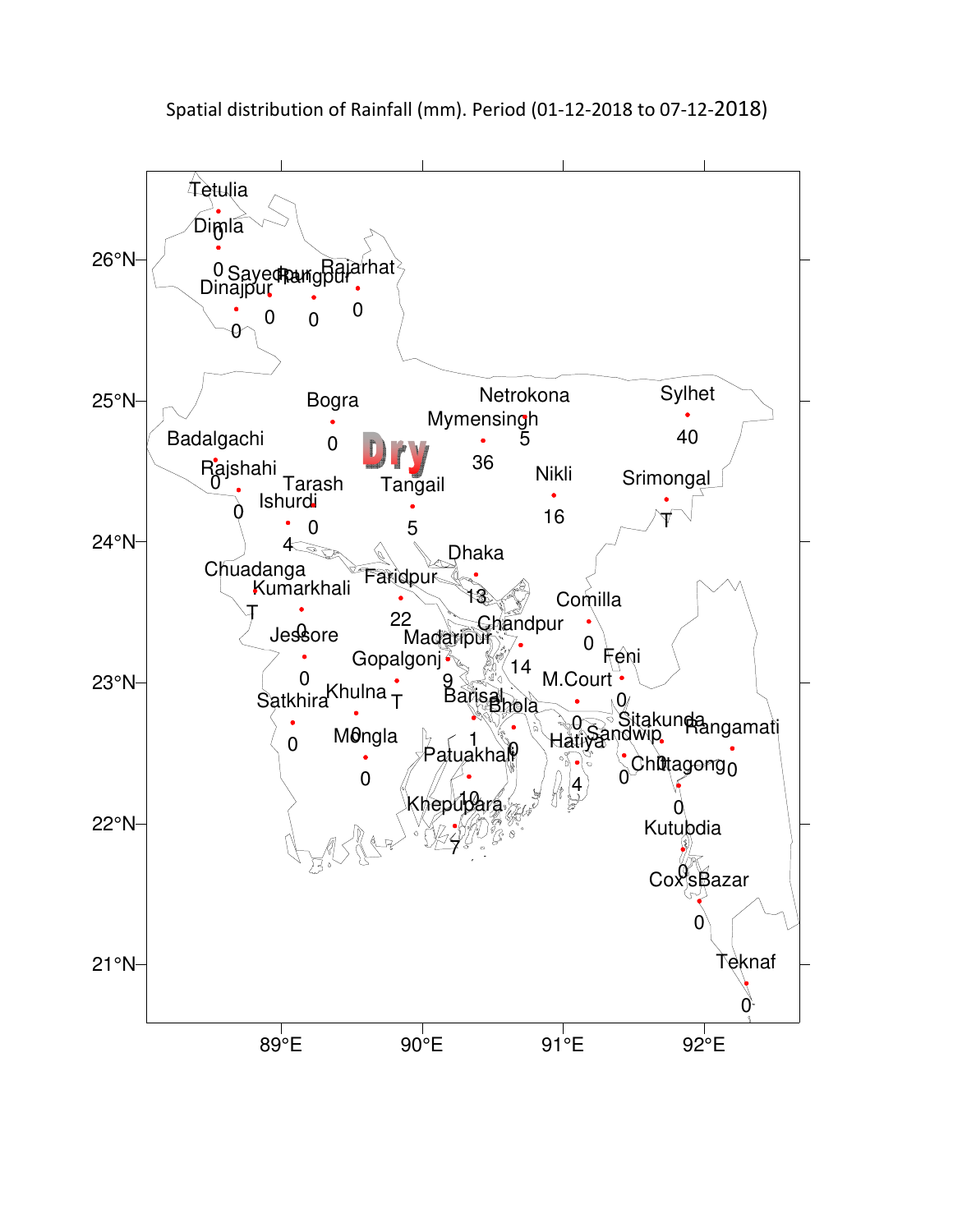

Spatial distribution of Rainfall (mm). Period (01-12-2018 to 07-12-2018)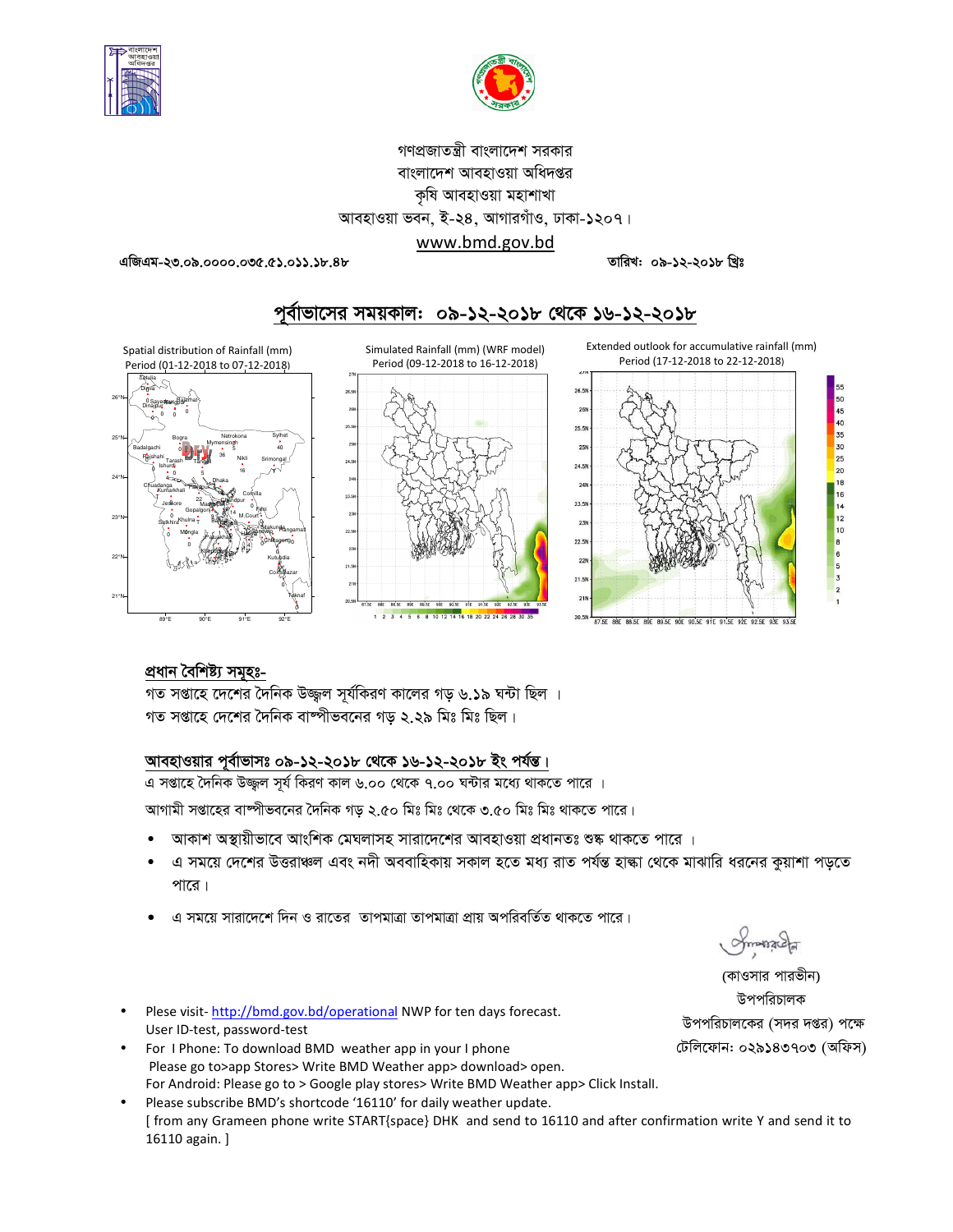



## গণপ্রজাতন্ত্রী বাংলাদেশ সরকার বাংলাদেশ আবহাওয়া অধিদপ্তর কৃষি আবহাওয়া মহাশাখা আবহাওয়া ভবন, ই-২৪, আগারগাঁও, ঢাকা-১২০৭। www.bmd.gov.bd

এজিএম-২৩.০৯.০০০০.০৩৫.৫১.০১১.১৮.৪৮

তারিখ: ০৯-১২-২০১৮ খিঃ

পূর্বাভাসের সময়কাল: ০৯-১২-২০১৮ থেকে ১৬-১২-২০১৮



## প্ৰধান বৈশিষ্ট্য সমূহঃ-

গত সপ্তাহে দেশের দৈনিক উজ্জল সর্যকিরণ কালের গড় ৬.১৯ ঘন্টা ছিল । গত সপ্তাহে দেশের দৈনিক বাষ্পীভবনের গড় ২.২৯ মিঃ মিঃ ছিল।

### আবহাওয়ার পূর্বাভাসঃ ০৯-১২-২০১৮ থেকে ১৬-১২-২০১৮ ইং পর্যন্ত।

।<br>এ সপ্তাহে দৈনিক উজ্জ্বল সূর্য কিরণ কাল ৬.০০ থেকে ৭.০০ ঘন্টার মধ্যে থাকতে পারে ।

আগামী সপ্তাহের বাষ্পীভবনের দৈনিক গড় ২.৫০ মিঃ মিঃ থেকে ৩.৫০ মিঃ মিঃ থাকতে পারে।

- আকাশ অস্থায়ীভাবে আংশিক মেঘলাসহ সারাদেশের আবহাওয়া প্রধানতঃ শুষ্ক থাকতে পারে ।
- এ সময়ে দেশের উত্তরাঞ্চল এবং নদী অববাহিকায় সকাল হতে মধ্য রাত পর্যন্ত হাল্কা থেকে মাঝারি ধরনের কুয়াশা পড়তে পারে।
- এ সময়ে সারাদেশে দিন ও রাতের তাপমাত্রা তাপমাত্রা প্রায় অপরিবর্তিত থাকতে পারে।
- Plese visit-http://bmd.gov.bd/operational NWP for ten days forecast. User ID-test, password-test
- For I Phone: To download BMD weather app in your I phone Please go to>app Stores> Write BMD Weather app> download> open. For Android: Please go to > Google play stores> Write BMD Weather app> Click Install.
- Please subscribe BMD's shortcode '16110' for daily weather update. [ from any Grameen phone write START{space} DHK and send to 16110 and after confirmation write Y and send it to 16110 again. ]

(কাওসার পারভীন) উপপরিচালক উপপরিচালকের (সদর দপ্তর) পক্ষে টেলিফোন: ০২৯১৪৩৭০৩ (অফিস)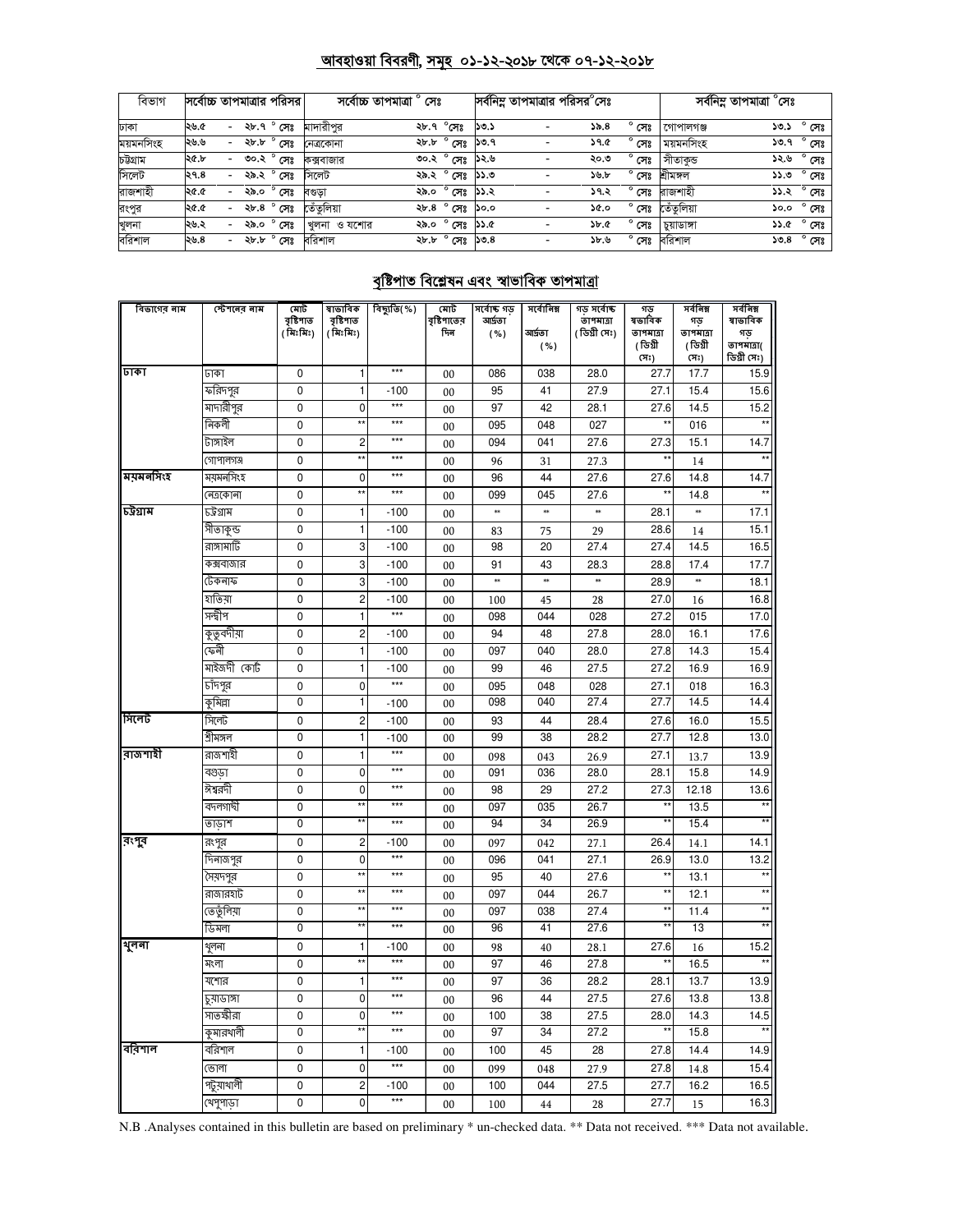# <u> আবহাওয়া বিবরণী, সমূহ ০১-১২-২০১৮ থেকে ০৭-১২-২০১৮</u>

| বিভাগ     | সর্বোচ্চ তাপমাত্রার পরিসর |                          |        |                  |             | সৰ্বোচ্চ তাপমাত্ৰা<br>সেঃ |                |         |                          | সর্বনিম্ন তাপমাত্রার পরিসর°সেঃ |                |            | সৰ্বনিম্ন তাপমাত্ৰা °সেঃ |                |
|-----------|---------------------------|--------------------------|--------|------------------|-------------|---------------------------|----------------|---------|--------------------------|--------------------------------|----------------|------------|--------------------------|----------------|
| ঢাকা      | ২৬.৫                      | $\overline{\phantom{0}}$ | ২৮.৭ ° | সেঃ              | মাদারীপর    |                           | ২৮.৭ °সেঃ      | ১৩.১    |                          | 55.8                           | $^{\circ}$ সেঃ | গোপালগঞ্জ  | ১৩.১                     | $^{\circ}$ সেঃ |
| ময়মনসিংহ | ২৬.৬                      | -                        | ২৮.৮   | ' সেঃ            | নেত্ৰকোনা   | ২৮.৮                      | ° সেঃ          | ১৩.৭    |                          | <b>59.G</b>                    | $^{\circ}$ সেঃ | ময়মনসিংহ  | ১৩.৭                     | $^{\circ}$ সেঃ |
| চউগ্ৰাম   | ২৫.৮                      | $\overline{\phantom{0}}$ | ৩০.২   | $^{\circ}$ সেঃ   | কক্সবাজার   |                           | ৩০.২ ° সেঃ     | ১২.৬    |                          | ২০.৩                           | $^{\circ}$ সেঃ | াসীতাকভ    | ১২.৬                     | $^{\circ}$ সেঃ |
| সিলেট     | ২৭.৪                      | $\overline{\phantom{0}}$ | ২৯.২   | সেঃ              | সিলেট       | ২৯.২                      | $^{\circ}$ সেঃ | ৩.৫৫    |                          | ১৬.৮                           | $^{\circ}$ সেঃ | শ্ৰীমঙ্গল  | ৩.८८                     | $^{\circ}$ সেঃ |
| রাজশাহী   | ১.১২                      | $\overline{\phantom{0}}$ | ২৯.০   | $^{\circ}$ সেঃ   | বণ্ডডা      | ২৯.০                      | $^{\circ}$ সেঃ | ১১.২    |                          | ১৭.২                           | সেঃ            | রাজশাহী    |                          | ১১.২ ° সেঃ     |
| রংপুর     | ১.১২                      | $\overline{\phantom{0}}$ | ২৮.৪   | $\bullet$<br>সেঃ | তেঁতুলিয়া  |                           | ২৮.৪ ° সেঃ     | ১০.০    | $\overline{\phantom{0}}$ | ১৫.০                           | $^{\circ}$ সেঃ | তেঁতুলিয়া | ১০.০                     | $^{\circ}$ সেঃ |
| খুলনা     | ২৬.২                      | $\overline{\phantom{0}}$ | ২৯.০   | $^{\circ}$ সেঃ   | খলনা ও যশোর | ২৯.০                      | $^{\circ}$ সেঃ | ১১.৫    |                          | <b>Sb.C</b>                    | সেঃ            | চয়াডাঙ্গা | ১১.৫                     | $^{\circ}$ সেঃ |
| বরিশাল    | ২৬.৪                      | $\overline{\phantom{0}}$ | ২৮.৮   | $^{\circ}$ সেঃ   | বরিশাল      |                           | ২৮.৮ ° সেঃ     | ১৩. $8$ | $\overline{\phantom{a}}$ | ১৮.৬                           | $^{\circ}$ সেঃ | বরিশাল     | ১৩.৪                     | $^{\circ}$ সেঃ |

## <u>বৃষ্টিপাত বিশ্লেষন এবং স্বাভাবিক তাপমাত্রা</u>

| বিভাগের নাম | স্টেশনেব নাম | মোট                    | ষাভাবিক                | বিছ্যুতি(%) | মোট                | সৰ্বোচ্চ গড    | সৰ্বোনিম্ন | গড সৰ্বোষ্ক                | গড                  | সৰ্বনিম্ন       | সৰ্বনিম্ন      |
|-------------|--------------|------------------------|------------------------|-------------|--------------------|----------------|------------|----------------------------|---------------------|-----------------|----------------|
|             |              | বৃষ্টিপাত<br>( মিঃমিঃ) | বৃষ্টিপাত<br>( মিঃমিঃ) |             | বৃষ্টিপাতের<br>দিন | আৰ্দতা<br>( %) | আৰ্দতা     | তাপমাত্রা<br>( ডিগ্ৰী সেঃ) | ষভাবিক<br>তাপমাত্রা | গড<br>তাপমাত্রা | ষাভাবিক<br>গড় |
|             |              |                        |                        |             |                    |                | ( %)       |                            | (ডিগ্ৰী             | (ডিগ্ৰী         | তাপমাত্রা(     |
|             |              |                        |                        |             |                    |                |            |                            | (সঃ)                | (সঃ)            | ডিগ্ৰী সেঃ)    |
| ঢাকা        | ঢাকা         | 0                      | 1                      | ***         | 00                 | 086            | 038        | 28.0                       | 27.7                | 17.7            | 15.9           |
|             | ফরিদপুর      | $\mathbf 0$            | 1                      | $-100$      | 00                 | 95             | 41         | 27.9                       | 27.1                | 15.4            | 15.6           |
|             | মাদারীপুর    | $\mathbf 0$            | $\overline{0}$         | $***$       | 00                 | 97             | 42         | 28.1                       | 27.6                | 14.5            | 15.2           |
|             | নিকলী        | 0                      | $\star$                | $***$       | 00                 | 095            | 048        | 027                        | $\star\star$        | 016             |                |
|             | টাঙ্গাইল     | $\mathbf 0$            | $\overline{c}$         | $***$       | 00                 | 094            | 041        | 27.6                       | 27.3                | 15.1            | 14.7           |
|             | গোপালগঞ্জ    | 0                      | $\star$                | ***         | 00                 | 96             | 31         | 27.3                       |                     | 14              |                |
| ময়মনসিংহ   | ময়মনসিংহ    | $\mathbf 0$            | $\mathbf 0$            | ***         | 00                 | 96             | 44         | 27.6                       | 27.6                | 14.8            | 14.7           |
|             | নেত্ৰকোনা    | $\mathbf 0$            | $\ddot{x}$             | $***$       | 00                 | 099            | 045        | 27.6                       | $\star$             | 14.8            |                |
| চট্ৰগ্ৰাম   | ঢট্রগ্রাম    | 0                      | 1                      | $-100$      | 00                 | **             | $\ast$     | *                          | 28.1                | *               | 17.1           |
|             | সীতাকুন্ড    | $\mathbf 0$            | 1                      | $-100$      | 00                 | 83             | 75         | 29                         | 28.6                | 14              | 15.1           |
|             | রাঙ্গামাটি   | 0                      | 3                      | $-100$      | 00                 | 98             | 20         | 27.4                       | 27.4                | 14.5            | 16.5           |
|             | কক্সবাজার    | 0                      | 3                      | $-100$      | 00                 | 91             | 43         | 28.3                       | 28.8                | 17.4            | 17.7           |
|             | টেকনাফ       | $\mathbf 0$            | 3                      | $-100$      | 00                 | $\ast\ast$     | $\ast\ast$ | ×                          | 28.9                | $\ast$          | 18.1           |
|             | হাতিয়া      | 0                      | $\overline{c}$         | $-100$      | 00                 | 100            | 45         | 28                         | 27.0                | 16              | 16.8           |
|             | সন্দ্বীপ     | $\mathbf 0$            | 1                      | $***$       | 00                 | 098            | 044        | 028                        | 27.2                | 015             | 17.0           |
|             | কুতুবদীয়া   | $\mathbf 0$            | $\overline{c}$         | $-100$      | 00                 | 94             | 48         | 27.8                       | 28.0                | 16.1            | 17.6           |
|             | কেনী         | 0                      | 1                      | $-100$      | 00                 | 097            | 040        | 28.0                       | 27.8                | 14.3            | 15.4           |
|             | মাইজদী কোট   | $\mathbf 0$            | $\mathbf{1}$           | $-100$      | 00                 | 99             | 46         | 27.5                       | 27.2                | 16.9            | 16.9           |
|             | চাঁদপুর      | $\mathbf 0$            | $\mathbf 0$            | $***$       | 00                 | 095            | 048        | 028                        | 27.1                | 018             | 16.3           |
|             | কুমিল্লা     | $\mathbf 0$            | 1                      | $-100$      | 00                 | 098            | 040        | 27.4                       | 27.7                | 14.5            | 14.4           |
| সিলেট       | সিলেট        | $\mathbf 0$            | $\overline{c}$         | $-100$      | 00                 | 93             | 44         | 28.4                       | 27.6                | 16.0            | 15.5           |
|             | শ্ৰীমঙ্গল    | $\overline{0}$         | 1                      | $-100$      | 0 <sub>0</sub>     | 99             | 38         | 28.2                       | 27.7                | 12.8            | 13.0           |
| রাজশাহী     | রাজশাহী      | $\mathbf 0$            | $\mathbf{1}$           | $***$       | 00                 | 098            | 043        | 26.9                       | 27.1                | 13.7            | 13.9           |
|             | বগুডা        | $\mathbf 0$            | $\overline{0}$         | $***$       | 00                 | 091            | 036        | 28.0                       | 28.1                | 15.8            | 14.9           |
|             | ঈশ্বরদী      | $\pmb{0}$              | $\mathbf{0}$           | $***$       | 00                 | 98             | 29         | 27.2                       | 27.3                | 12.18           | 13.6           |
|             | বদলগাঘী      | $\mathbf 0$            | **                     | ***         | 00                 | 097            | 035        | 26.7                       | $\star\star$        | 13.5            | $\star\star$   |
|             | তাডাশ        | $\overline{0}$         |                        | ***         | 00                 | 94             | 34         | 26.9                       | $\star$             | 15.4            |                |
| রংগুর       | রংপুর        | $\mathbf 0$            | $\overline{c}$         | $-100$      | 00                 | 097            | 042        | 27.1                       | 26.4                | 14.1            | 14.1           |
|             | দিনাজপুর     | 0                      | 0                      | $***$       | 00                 | 096            | 041        | 27.1                       | 26.9                | 13.0            | 13.2           |
|             | সৈয়দপুর     | $\mathbf 0$            | ×,                     | $***$       | 00                 | 95             | 40         | 27.6                       | $\star\star$        | 13.1            | $\star\star$   |
|             | রাজারহাট     | $\mathbf 0$            | $\star$                | ***         | 00                 | 097            | 044        | 26.7                       | $\star\star$        | 12.1            | $\star\star$   |
|             | তেতুঁলিয়া   | 0                      | $\star$                | ***         | 00                 | 097            | 038        | 27.4                       | $\star\star$        | 11.4            |                |
|             | ডিমলা        | $\overline{0}$         |                        | $***$       | 00                 | 96             | 41         | 27.6                       |                     | 13              |                |
| থুলনা       | থূলনা        | 0                      | 1                      | $-100$      | 00                 | 98             | 40         | 28.1                       | 27.6                | 16              | 15.2           |
|             | মংলা         | $\mathbf 0$            | $\star$                | $***$       | 00                 | 97             | 46         | 27.8                       | $\star\star$        | 16.5            | $\star\star$   |
|             | যশোর         | $\mathbf 0$            | $\mathbf{1}$           | ***         | 00                 | 97             | 36         | 28.2                       | 28.1                | 13.7            | 13.9           |
|             | চুয়াডাঙ্গা  | $\mathbf 0$            | 0                      | ***         | 00                 | 96             | 44         | 27.5                       | 27.6                | 13.8            | 13.8           |
|             | সাতক্ষীরা    | $\mathbf 0$            | $\mathbf{0}$           | $***$       | 00                 | 100            | 38         | 27.5                       | 28.0                | 14.3            | 14.5           |
|             | কুমারখালী    | $\overline{0}$         | ÷.                     | ***         | 0 <sub>0</sub>     | 97             | 34         | 27.2                       |                     | 15.8            |                |
| ববিশাল      | বরিশাল       | $\mathbf 0$            | 1                      | $-100$      | 00                 | 100            | 45         | 28                         | 27.8                | 14.4            | 14.9           |
|             | ভোলা         | 0                      | 0                      | $***$       | 00                 | 099            | 048        | 27.9                       | 27.8                | 14.8            | 15.4           |
|             | পটুয়াথালী   | $\pmb{0}$              | $\overline{c}$         | $-100$      | 00                 | 100            | 044        | 27.5                       | 27.7                | 16.2            | 16.5           |
|             | খেপুপাড়া    | 0                      | $\overline{0}$         | $***$       | 0 <sub>0</sub>     | 100            | 44         | 28                         | 27.7                | 15              | 16.3           |
|             |              |                        |                        |             |                    |                |            |                            |                     |                 |                |

N.B .Analyses contained in this bulletin are based on preliminary \* un-checked data. \*\* Data not received. \*\*\* Data not available.